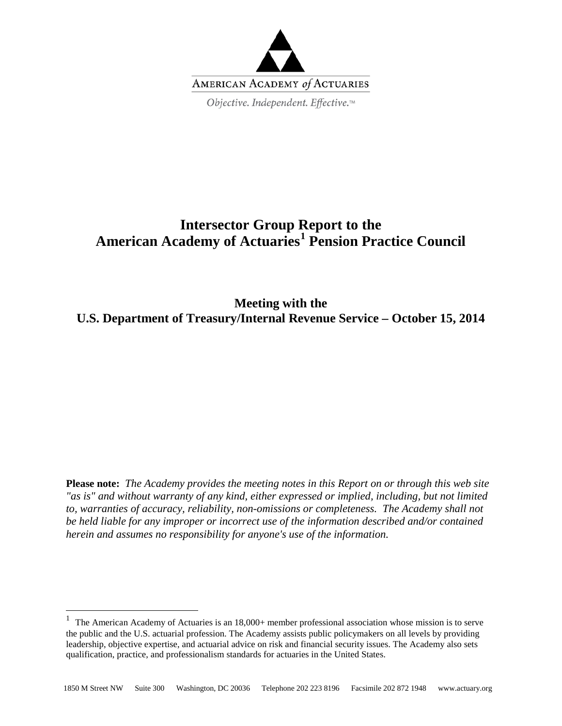

# **Intersector Group Report to the American Academy of Actuaries[1](#page-0-0) Pension Practice Council**

**Meeting with the U.S. Department of Treasury/Internal Revenue Service – October 15, 2014**

**Please note:** *The Academy provides the meeting notes in this Report on or through this web site "as is" and without warranty of any kind, either expressed or implied, including, but not limited to, warranties of accuracy, reliability, non-omissions or completeness. The Academy shall not be held liable for any improper or incorrect use of the information described and/or contained herein and assumes no responsibility for anyone's use of the information.*

<span id="page-0-0"></span><sup>&</sup>lt;sup>1</sup> The American Academy of Actuaries is an  $18,000+$  member professional association whose mission is to serve the public and the U.S. actuarial profession. The Academy assists public policymakers on all levels by providing leadership, objective expertise, and actuarial advice on risk and financial security issues. The Academy also sets qualification, practice, and professionalism standards for actuaries in the United States.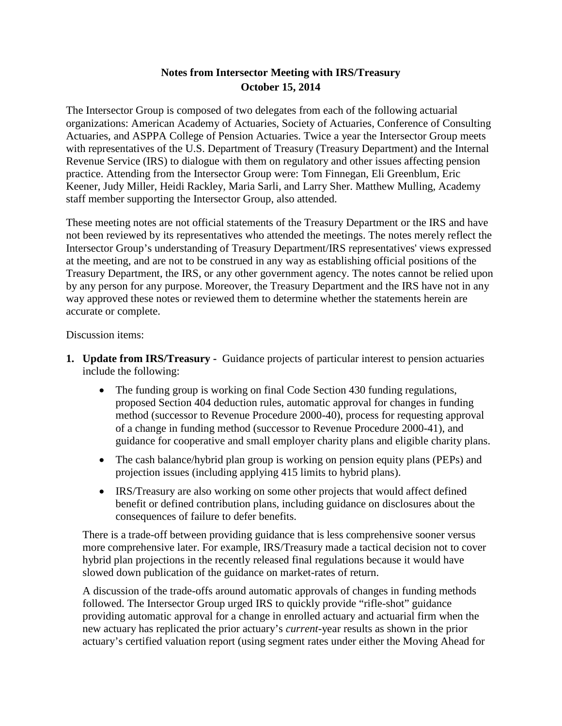## **Notes from Intersector Meeting with IRS/Treasury October 15, 2014**

The Intersector Group is composed of two delegates from each of the following actuarial organizations: American Academy of Actuaries, Society of Actuaries, Conference of Consulting Actuaries, and ASPPA College of Pension Actuaries. Twice a year the Intersector Group meets with representatives of the U.S. Department of Treasury (Treasury Department) and the Internal Revenue Service (IRS) to dialogue with them on regulatory and other issues affecting pension practice. Attending from the Intersector Group were: Tom Finnegan, Eli Greenblum, Eric Keener, Judy Miller, Heidi Rackley, Maria Sarli, and Larry Sher. Matthew Mulling, Academy staff member supporting the Intersector Group, also attended.

These meeting notes are not official statements of the Treasury Department or the IRS and have not been reviewed by its representatives who attended the meetings. The notes merely reflect the Intersector Group's understanding of Treasury Department/IRS representatives' views expressed at the meeting, and are not to be construed in any way as establishing official positions of the Treasury Department, the IRS, or any other government agency. The notes cannot be relied upon by any person for any purpose. Moreover, the Treasury Department and the IRS have not in any way approved these notes or reviewed them to determine whether the statements herein are accurate or complete.

Discussion items:

- <span id="page-1-0"></span>**1. Update from IRS/Treasury -** Guidance projects of particular interest to pension actuaries include the following:
	- The funding group is working on final Code Section 430 funding regulations, proposed Section 404 deduction rules, automatic approval for changes in funding method (successor to Revenue Procedure 2000-40), process for requesting approval of a change in funding method (successor to Revenue Procedure 2000-41), and guidance for cooperative and small employer charity plans and eligible charity plans.
	- The cash balance/hybrid plan group is working on pension equity plans (PEPs) and projection issues (including applying 415 limits to hybrid plans).
	- IRS/Treasury are also working on some other projects that would affect defined benefit or defined contribution plans, including guidance on disclosures about the consequences of failure to defer benefits.

There is a trade-off between providing guidance that is less comprehensive sooner versus more comprehensive later. For example, IRS/Treasury made a tactical decision not to cover hybrid plan projections in the recently released final regulations because it would have slowed down publication of the guidance on market-rates of return.

A discussion of the trade-offs around automatic approvals of changes in funding methods followed. The Intersector Group urged IRS to quickly provide "rifle-shot" guidance providing automatic approval for a change in enrolled actuary and actuarial firm when the new actuary has replicated the prior actuary's *current*-year results as shown in the prior actuary's certified valuation report (using segment rates under either the Moving Ahead for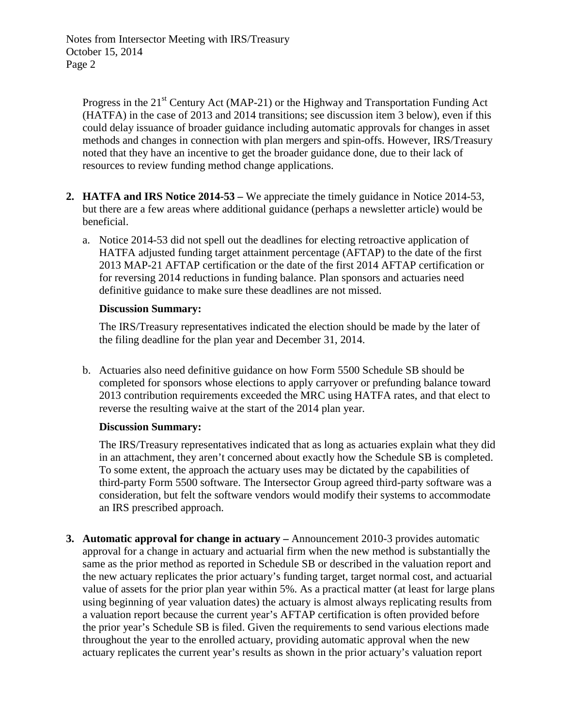Progress in the  $21<sup>st</sup>$  Century Act (MAP-21) or the Highway and Transportation Funding Act (HATFA) in the case of 2013 and 2014 transitions; see discussion item [3](#page-2-0) below), even if this could delay issuance of broader guidance including automatic approvals for changes in asset methods and changes in connection with plan mergers and spin-offs. However, IRS/Treasury noted that they have an incentive to get the broader guidance done, due to their lack of resources to review funding method change applications.

- **2. HATFA and IRS Notice 2014-53 –** We appreciate the timely guidance in Notice 2014-53, but there are a few areas where additional guidance (perhaps a newsletter article) would be beneficial.
	- a. Notice 2014-53 did not spell out the deadlines for electing retroactive application of HATFA adjusted funding target attainment percentage (AFTAP) to the date of the first 2013 MAP-21 AFTAP certification or the date of the first 2014 AFTAP certification or for reversing 2014 reductions in funding balance. Plan sponsors and actuaries need definitive guidance to make sure these deadlines are not missed.

#### **Discussion Summary:**

The IRS/Treasury representatives indicated the election should be made by the later of the filing deadline for the plan year and December 31, 2014.

b. Actuaries also need definitive guidance on how Form 5500 Schedule SB should be completed for sponsors whose elections to apply carryover or prefunding balance toward 2013 contribution requirements exceeded the MRC using HATFA rates, and that elect to reverse the resulting waive at the start of the 2014 plan year.

#### **Discussion Summary:**

The IRS/Treasury representatives indicated that as long as actuaries explain what they did in an attachment, they aren't concerned about exactly how the Schedule SB is completed. To some extent, the approach the actuary uses may be dictated by the capabilities of third-party Form 5500 software. The Intersector Group agreed third-party software was a consideration, but felt the software vendors would modify their systems to accommodate an IRS prescribed approach.

<span id="page-2-0"></span>**3. Automatic approval for change in actuary –** Announcement 2010-3 provides automatic approval for a change in actuary and actuarial firm when the new method is substantially the same as the prior method as reported in Schedule SB or described in the valuation report and the new actuary replicates the prior actuary's funding target, target normal cost, and actuarial value of assets for the prior plan year within 5%. As a practical matter (at least for large plans using beginning of year valuation dates) the actuary is almost always replicating results from a valuation report because the current year's AFTAP certification is often provided before the prior year's Schedule SB is filed. Given the requirements to send various elections made throughout the year to the enrolled actuary, providing automatic approval when the new actuary replicates the current year's results as shown in the prior actuary's valuation report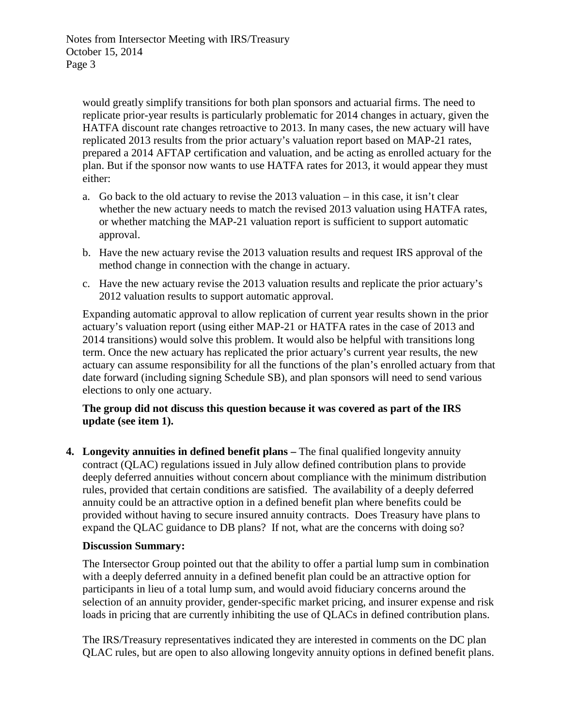would greatly simplify transitions for both plan sponsors and actuarial firms. The need to replicate prior-year results is particularly problematic for 2014 changes in actuary, given the HATFA discount rate changes retroactive to 2013. In many cases, the new actuary will have replicated 2013 results from the prior actuary's valuation report based on MAP-21 rates, prepared a 2014 AFTAP certification and valuation, and be acting as enrolled actuary for the plan. But if the sponsor now wants to use HATFA rates for 2013, it would appear they must either:

- a. Go back to the old actuary to revise the 2013 valuation in this case, it isn't clear whether the new actuary needs to match the revised 2013 valuation using HATFA rates, or whether matching the MAP-21 valuation report is sufficient to support automatic approval.
- b. Have the new actuary revise the 2013 valuation results and request IRS approval of the method change in connection with the change in actuary.
- c. Have the new actuary revise the 2013 valuation results and replicate the prior actuary's 2012 valuation results to support automatic approval.

Expanding automatic approval to allow replication of current year results shown in the prior actuary's valuation report (using either MAP-21 or HATFA rates in the case of 2013 and 2014 transitions) would solve this problem. It would also be helpful with transitions long term. Once the new actuary has replicated the prior actuary's current year results, the new actuary can assume responsibility for all the functions of the plan's enrolled actuary from that date forward (including signing Schedule SB), and plan sponsors will need to send various elections to only one actuary.

## **The group did not discuss this question because it was covered as part of the IRS update (see item [1\)](#page-1-0).**

**4. Longevity annuities in defined benefit plans –** The final qualified longevity annuity contract (QLAC) regulations issued in July allow defined contribution plans to provide deeply deferred annuities without concern about compliance with the minimum distribution rules, provided that certain conditions are satisfied. The availability of a deeply deferred annuity could be an attractive option in a defined benefit plan where benefits could be provided without having to secure insured annuity contracts. Does Treasury have plans to expand the QLAC guidance to DB plans? If not, what are the concerns with doing so?

## **Discussion Summary:**

The Intersector Group pointed out that the ability to offer a partial lump sum in combination with a deeply deferred annuity in a defined benefit plan could be an attractive option for participants in lieu of a total lump sum, and would avoid fiduciary concerns around the selection of an annuity provider, gender-specific market pricing, and insurer expense and risk loads in pricing that are currently inhibiting the use of QLACs in defined contribution plans.

The IRS/Treasury representatives indicated they are interested in comments on the DC plan QLAC rules, but are open to also allowing longevity annuity options in defined benefit plans.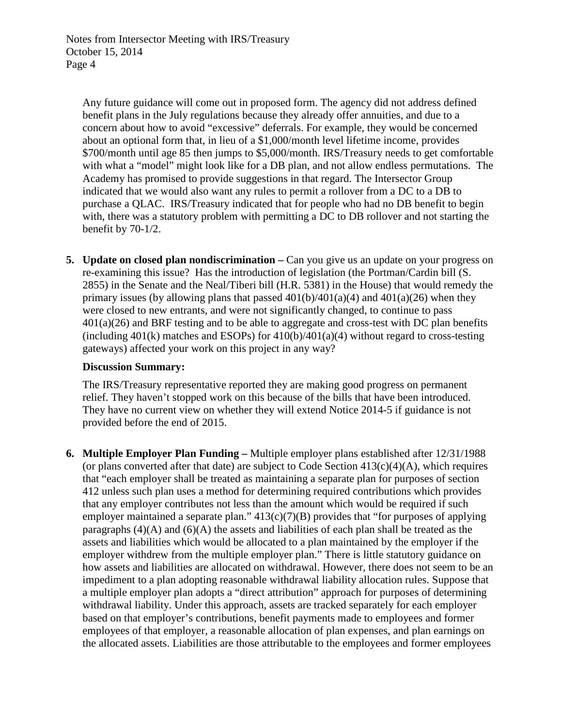Any future guidance will come out in proposed form. The agency did not address defined benefit plans in the July regulations because they already offer annuities, and due to a concern about how to avoid "excessive" deferrals. For example, they would be concerned about an optional form that, in lieu of a \$1,000/month level lifetime income, provides \$700/month until age 85 then jumps to \$5,000/month. IRS/Treasury needs to get comfortable with what a "model" might look like for a DB plan, and not allow endless permutations. The Academy has promised to provide suggestions in that regard. The Intersector Group indicated that we would also want any rules to permit a rollover from a DC to a DB to purchase a QLAC. IRS/Treasury indicated that for people who had no DB benefit to begin with, there was a statutory problem with permitting a DC to DB rollover and not starting the benefit by 70-1/2.

**5. Update on closed plan nondiscrimination –** Can you give us an update on your progress on re-examining this issue? Has the introduction of legislation (the Portman/Cardin bill (S. 2855) in the Senate and the Neal/Tiberi bill (H.R. 5381) in the House) that would remedy the primary issues (by allowing plans that passed  $401(b)/401(a)(4)$  and  $401(a)(26)$  when they were closed to new entrants, and were not significantly changed, to continue to pass  $401(a)(26)$  and BRF testing and to be able to aggregate and cross-test with DC plan benefits (including  $401(k)$  matches and ESOPs) for  $410(b)/401(a)(4)$  without regard to cross-testing gateways) affected your work on this project in any way?

#### **Discussion Summary:**

The IRS/Treasury representative reported they are making good progress on permanent relief. They haven't stopped work on this because of the bills that have been introduced. They have no current view on whether they will extend Notice 2014-5 if guidance is not provided before the end of 2015.

**6. Multiple Employer Plan Funding –** Multiple employer plans established after 12/31/1988 (or plans converted after that date) are subject to Code Section  $413(c)(4)(A)$ , which requires that "each employer shall be treated as maintaining a separate plan for purposes of section 412 unless such plan uses a method for determining required contributions which provides that any employer contributes not less than the amount which would be required if such employer maintained a separate plan."  $413(c)(7)(B)$  provides that "for purposes of applying paragraphs  $(4)(A)$  and  $(6)(A)$  the assets and liabilities of each plan shall be treated as the assets and liabilities which would be allocated to a plan maintained by the employer if the employer withdrew from the multiple employer plan." There is little statutory guidance on how assets and liabilities are allocated on withdrawal. However, there does not seem to be an impediment to a plan adopting reasonable withdrawal liability allocation rules. Suppose that a multiple employer plan adopts a "direct attribution" approach for purposes of determining withdrawal liability. Under this approach, assets are tracked separately for each employer based on that employer's contributions, benefit payments made to employees and former employees of that employer, a reasonable allocation of plan expenses, and plan earnings on the allocated assets. Liabilities are those attributable to the employees and former employees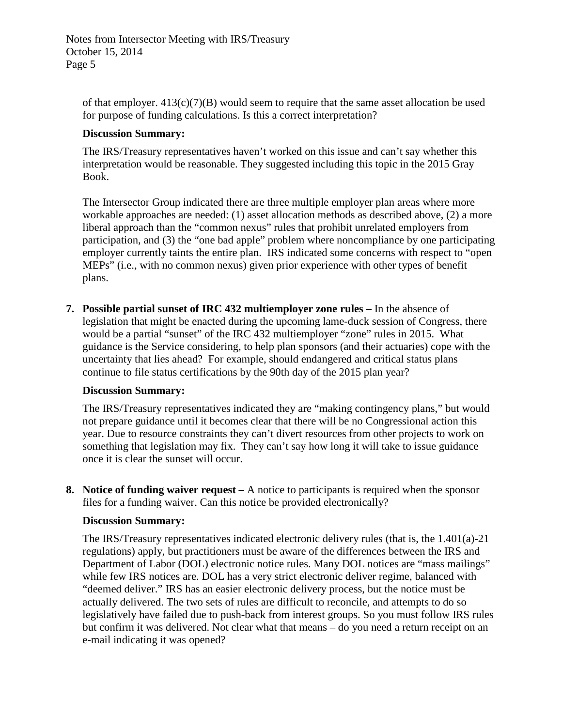of that employer.  $413(c)(7)(B)$  would seem to require that the same asset allocation be used for purpose of funding calculations. Is this a correct interpretation?

#### **Discussion Summary:**

The IRS/Treasury representatives haven't worked on this issue and can't say whether this interpretation would be reasonable. They suggested including this topic in the 2015 Gray Book.

The Intersector Group indicated there are three multiple employer plan areas where more workable approaches are needed: (1) asset allocation methods as described above, (2) a more liberal approach than the "common nexus" rules that prohibit unrelated employers from participation, and (3) the "one bad apple" problem where noncompliance by one participating employer currently taints the entire plan. IRS indicated some concerns with respect to "open MEPs" (i.e., with no common nexus) given prior experience with other types of benefit plans.

**7. Possible partial sunset of IRC 432 multiemployer zone rules –** In the absence of legislation that might be enacted during the upcoming lame-duck session of Congress, there would be a partial "sunset" of the IRC 432 multiemployer "zone" rules in 2015. What guidance is the Service considering, to help plan sponsors (and their actuaries) cope with the uncertainty that lies ahead? For example, should endangered and critical status plans continue to file status certifications by the 90th day of the 2015 plan year?

## **Discussion Summary:**

The IRS/Treasury representatives indicated they are "making contingency plans," but would not prepare guidance until it becomes clear that there will be no Congressional action this year. Due to resource constraints they can't divert resources from other projects to work on something that legislation may fix. They can't say how long it will take to issue guidance once it is clear the sunset will occur.

**8. Notice of funding waiver request –** A notice to participants is required when the sponsor files for a funding waiver. Can this notice be provided electronically?

#### **Discussion Summary:**

The IRS/Treasury representatives indicated electronic delivery rules (that is, the 1.401(a)-21 regulations) apply, but practitioners must be aware of the differences between the IRS and Department of Labor (DOL) electronic notice rules. Many DOL notices are "mass mailings" while few IRS notices are. DOL has a very strict electronic deliver regime, balanced with "deemed deliver." IRS has an easier electronic delivery process, but the notice must be actually delivered. The two sets of rules are difficult to reconcile, and attempts to do so legislatively have failed due to push-back from interest groups. So you must follow IRS rules but confirm it was delivered. Not clear what that means – do you need a return receipt on an e-mail indicating it was opened?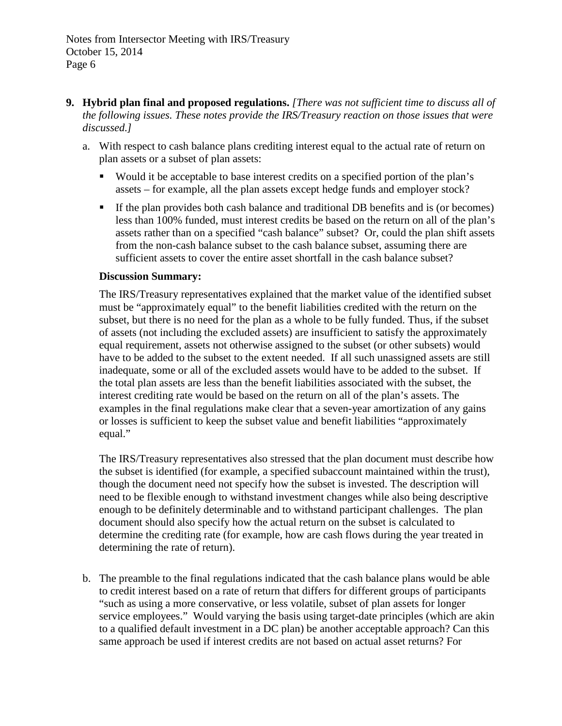- **9. Hybrid plan final and proposed regulations.** *[There was not sufficient time to discuss all of the following issues. These notes provide the IRS/Treasury reaction on those issues that were discussed.]*
	- a. With respect to cash balance plans crediting interest equal to the actual rate of return on plan assets or a subset of plan assets:
		- Would it be acceptable to base interest credits on a specified portion of the plan's assets – for example, all the plan assets except hedge funds and employer stock?
		- If the plan provides both cash balance and traditional DB benefits and is (or becomes) less than 100% funded, must interest credits be based on the return on all of the plan's assets rather than on a specified "cash balance" subset? Or, could the plan shift assets from the non-cash balance subset to the cash balance subset, assuming there are sufficient assets to cover the entire asset shortfall in the cash balance subset?

#### **Discussion Summary:**

The IRS/Treasury representatives explained that the market value of the identified subset must be "approximately equal" to the benefit liabilities credited with the return on the subset, but there is no need for the plan as a whole to be fully funded. Thus, if the subset of assets (not including the excluded assets) are insufficient to satisfy the approximately equal requirement, assets not otherwise assigned to the subset (or other subsets) would have to be added to the subset to the extent needed. If all such unassigned assets are still inadequate, some or all of the excluded assets would have to be added to the subset. If the total plan assets are less than the benefit liabilities associated with the subset, the interest crediting rate would be based on the return on all of the plan's assets. The examples in the final regulations make clear that a seven-year amortization of any gains or losses is sufficient to keep the subset value and benefit liabilities "approximately equal."

The IRS/Treasury representatives also stressed that the plan document must describe how the subset is identified (for example, a specified subaccount maintained within the trust), though the document need not specify how the subset is invested. The description will need to be flexible enough to withstand investment changes while also being descriptive enough to be definitely determinable and to withstand participant challenges. The plan document should also specify how the actual return on the subset is calculated to determine the crediting rate (for example, how are cash flows during the year treated in determining the rate of return).

b. The preamble to the final regulations indicated that the cash balance plans would be able to credit interest based on a rate of return that differs for different groups of participants "such as using a more conservative, or less volatile, subset of plan assets for longer service employees." Would varying the basis using target-date principles (which are akin to a qualified default investment in a DC plan) be another acceptable approach? Can this same approach be used if interest credits are not based on actual asset returns? For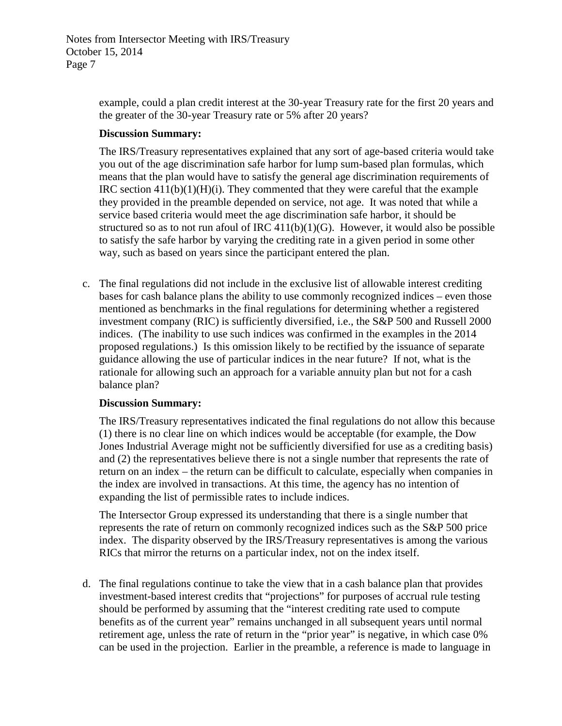example, could a plan credit interest at the 30-year Treasury rate for the first 20 years and the greater of the 30-year Treasury rate or 5% after 20 years?

#### **Discussion Summary:**

The IRS/Treasury representatives explained that any sort of age-based criteria would take you out of the age discrimination safe harbor for lump sum-based plan formulas, which means that the plan would have to satisfy the general age discrimination requirements of IRC section  $411(b)(1)(H)(i)$ . They commented that they were careful that the example they provided in the preamble depended on service, not age. It was noted that while a service based criteria would meet the age discrimination safe harbor, it should be structured so as to not run afoul of IRC  $411(b)(1)(G)$ . However, it would also be possible to satisfy the safe harbor by varying the crediting rate in a given period in some other way, such as based on years since the participant entered the plan.

c. The final regulations did not include in the exclusive list of allowable interest crediting bases for cash balance plans the ability to use commonly recognized indices – even those mentioned as benchmarks in the final regulations for determining whether a registered investment company (RIC) is sufficiently diversified, i.e., the S&P 500 and Russell 2000 indices. (The inability to use such indices was confirmed in the examples in the 2014 proposed regulations.) Is this omission likely to be rectified by the issuance of separate guidance allowing the use of particular indices in the near future? If not, what is the rationale for allowing such an approach for a variable annuity plan but not for a cash balance plan?

## **Discussion Summary:**

The IRS/Treasury representatives indicated the final regulations do not allow this because (1) there is no clear line on which indices would be acceptable (for example, the Dow Jones Industrial Average might not be sufficiently diversified for use as a crediting basis) and (2) the representatives believe there is not a single number that represents the rate of return on an index – the return can be difficult to calculate, especially when companies in the index are involved in transactions. At this time, the agency has no intention of expanding the list of permissible rates to include indices.

The Intersector Group expressed its understanding that there is a single number that represents the rate of return on commonly recognized indices such as the S&P 500 price index. The disparity observed by the IRS/Treasury representatives is among the various RICs that mirror the returns on a particular index, not on the index itself.

d. The final regulations continue to take the view that in a cash balance plan that provides investment-based interest credits that "projections" for purposes of accrual rule testing should be performed by assuming that the "interest crediting rate used to compute benefits as of the current year" remains unchanged in all subsequent years until normal retirement age, unless the rate of return in the "prior year" is negative, in which case 0% can be used in the projection. Earlier in the preamble, a reference is made to language in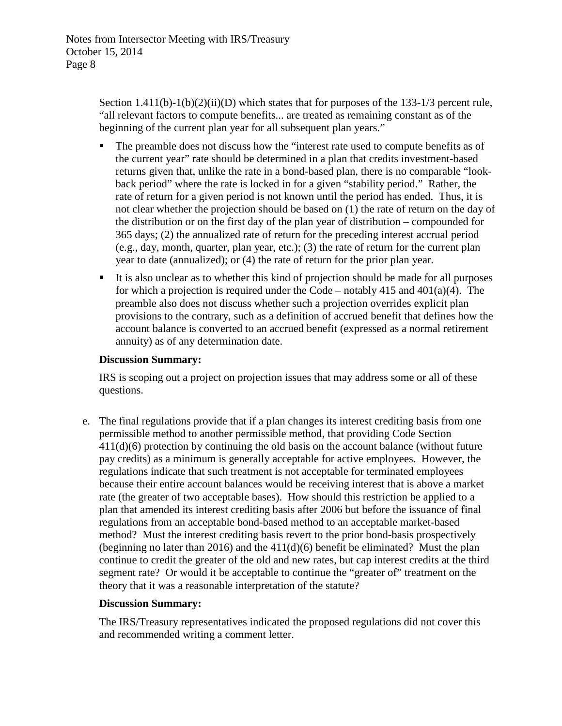Section  $1.411(b)-1(b)(2)(ii)(D)$  which states that for purposes of the 133-1/3 percent rule, "all relevant factors to compute benefits... are treated as remaining constant as of the beginning of the current plan year for all subsequent plan years."

- The preamble does not discuss how the "interest rate used to compute benefits as of the current year" rate should be determined in a plan that credits investment-based returns given that, unlike the rate in a bond-based plan, there is no comparable "lookback period" where the rate is locked in for a given "stability period." Rather, the rate of return for a given period is not known until the period has ended. Thus, it is not clear whether the projection should be based on (1) the rate of return on the day of the distribution or on the first day of the plan year of distribution – compounded for 365 days; (2) the annualized rate of return for the preceding interest accrual period (e.g., day, month, quarter, plan year, etc.); (3) the rate of return for the current plan year to date (annualized); or (4) the rate of return for the prior plan year.
- It is also unclear as to whether this kind of projection should be made for all purposes for which a projection is required under the Code – notably 415 and  $401(a)(4)$ . The preamble also does not discuss whether such a projection overrides explicit plan provisions to the contrary, such as a definition of accrued benefit that defines how the account balance is converted to an accrued benefit (expressed as a normal retirement annuity) as of any determination date.

#### **Discussion Summary:**

IRS is scoping out a project on projection issues that may address some or all of these questions.

e. The final regulations provide that if a plan changes its interest crediting basis from one permissible method to another permissible method, that providing Code Section 411(d)(6) protection by continuing the old basis on the account balance (without future pay credits) as a minimum is generally acceptable for active employees. However, the regulations indicate that such treatment is not acceptable for terminated employees because their entire account balances would be receiving interest that is above a market rate (the greater of two acceptable bases). How should this restriction be applied to a plan that amended its interest crediting basis after 2006 but before the issuance of final regulations from an acceptable bond-based method to an acceptable market-based method? Must the interest crediting basis revert to the prior bond-basis prospectively (beginning no later than 2016) and the 411(d)(6) benefit be eliminated? Must the plan continue to credit the greater of the old and new rates, but cap interest credits at the third segment rate? Or would it be acceptable to continue the "greater of" treatment on the theory that it was a reasonable interpretation of the statute?

## **Discussion Summary:**

The IRS/Treasury representatives indicated the proposed regulations did not cover this and recommended writing a comment letter.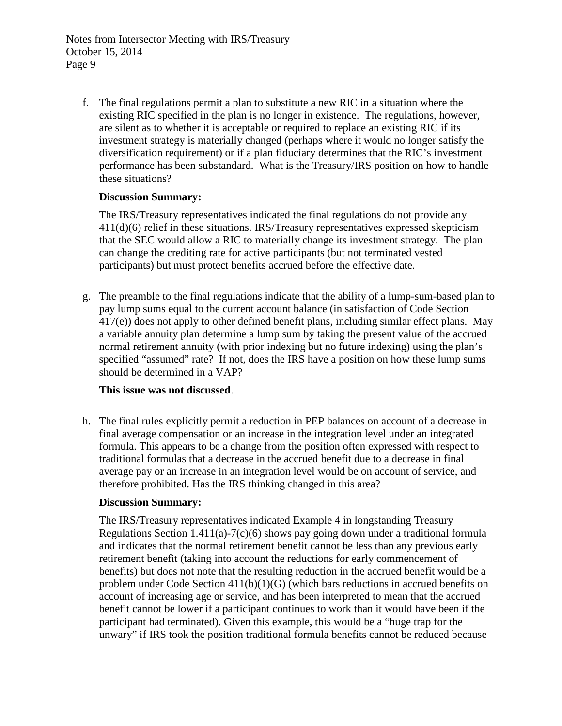Notes from Intersector Meeting with IRS/Treasury October 15, 2014 Page 9

f. The final regulations permit a plan to substitute a new RIC in a situation where the existing RIC specified in the plan is no longer in existence. The regulations, however, are silent as to whether it is acceptable or required to replace an existing RIC if its investment strategy is materially changed (perhaps where it would no longer satisfy the diversification requirement) or if a plan fiduciary determines that the RIC's investment performance has been substandard. What is the Treasury/IRS position on how to handle these situations?

#### **Discussion Summary:**

The IRS/Treasury representatives indicated the final regulations do not provide any 411(d)(6) relief in these situations. IRS/Treasury representatives expressed skepticism that the SEC would allow a RIC to materially change its investment strategy. The plan can change the crediting rate for active participants (but not terminated vested participants) but must protect benefits accrued before the effective date.

g. The preamble to the final regulations indicate that the ability of a lump-sum-based plan to pay lump sums equal to the current account balance (in satisfaction of Code Section 417(e)) does not apply to other defined benefit plans, including similar effect plans. May a variable annuity plan determine a lump sum by taking the present value of the accrued normal retirement annuity (with prior indexing but no future indexing) using the plan's specified "assumed" rate? If not, does the IRS have a position on how these lump sums should be determined in a VAP?

## **This issue was not discussed**.

h. The final rules explicitly permit a reduction in PEP balances on account of a decrease in final average compensation or an increase in the integration level under an integrated formula. This appears to be a change from the position often expressed with respect to traditional formulas that a decrease in the accrued benefit due to a decrease in final average pay or an increase in an integration level would be on account of service, and therefore prohibited. Has the IRS thinking changed in this area?

#### **Discussion Summary:**

The IRS/Treasury representatives indicated Example 4 in longstanding Treasury Regulations Section 1.411(a)-7(c)(6) shows pay going down under a traditional formula and indicates that the normal retirement benefit cannot be less than any previous early retirement benefit (taking into account the reductions for early commencement of benefits) but does not note that the resulting reduction in the accrued benefit would be a problem under Code Section 411(b)(1)(G) (which bars reductions in accrued benefits on account of increasing age or service, and has been interpreted to mean that the accrued benefit cannot be lower if a participant continues to work than it would have been if the participant had terminated). Given this example, this would be a "huge trap for the unwary" if IRS took the position traditional formula benefits cannot be reduced because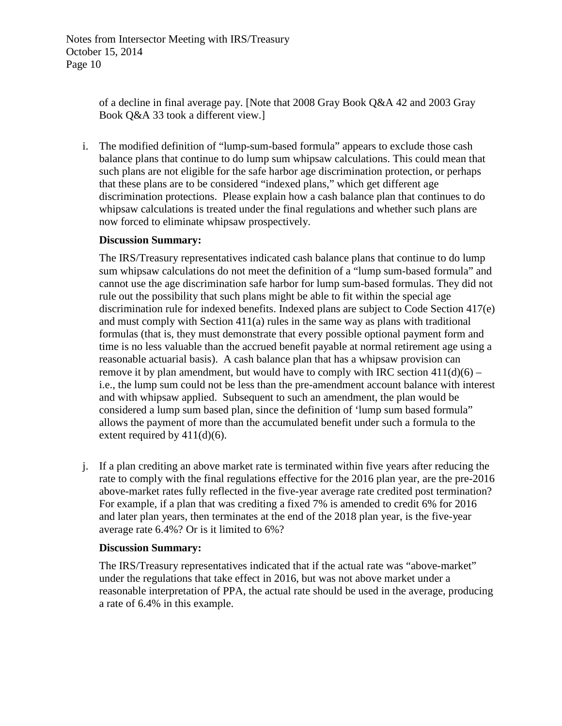of a decline in final average pay. [Note that 2008 Gray Book Q&A 42 and 2003 Gray Book Q&A 33 took a different view.]

i. The modified definition of "lump-sum-based formula" appears to exclude those cash balance plans that continue to do lump sum whipsaw calculations. This could mean that such plans are not eligible for the safe harbor age discrimination protection, or perhaps that these plans are to be considered "indexed plans," which get different age discrimination protections. Please explain how a cash balance plan that continues to do whipsaw calculations is treated under the final regulations and whether such plans are now forced to eliminate whipsaw prospectively.

## **Discussion Summary:**

The IRS/Treasury representatives indicated cash balance plans that continue to do lump sum whipsaw calculations do not meet the definition of a "lump sum-based formula" and cannot use the age discrimination safe harbor for lump sum-based formulas. They did not rule out the possibility that such plans might be able to fit within the special age discrimination rule for indexed benefits. Indexed plans are subject to Code Section 417(e) and must comply with Section 411(a) rules in the same way as plans with traditional formulas (that is, they must demonstrate that every possible optional payment form and time is no less valuable than the accrued benefit payable at normal retirement age using a reasonable actuarial basis). A cash balance plan that has a whipsaw provision can remove it by plan amendment, but would have to comply with IRC section  $411(d)(6)$  – i.e., the lump sum could not be less than the pre-amendment account balance with interest and with whipsaw applied. Subsequent to such an amendment, the plan would be considered a lump sum based plan, since the definition of 'lump sum based formula" allows the payment of more than the accumulated benefit under such a formula to the extent required by  $411(d)(6)$ .

j. If a plan crediting an above market rate is terminated within five years after reducing the rate to comply with the final regulations effective for the 2016 plan year, are the pre-2016 above-market rates fully reflected in the five-year average rate credited post termination? For example, if a plan that was crediting a fixed 7% is amended to credit 6% for 2016 and later plan years, then terminates at the end of the 2018 plan year, is the five-year average rate 6.4%? Or is it limited to 6%?

#### **Discussion Summary:**

The IRS/Treasury representatives indicated that if the actual rate was "above-market" under the regulations that take effect in 2016, but was not above market under a reasonable interpretation of PPA, the actual rate should be used in the average, producing a rate of 6.4% in this example.